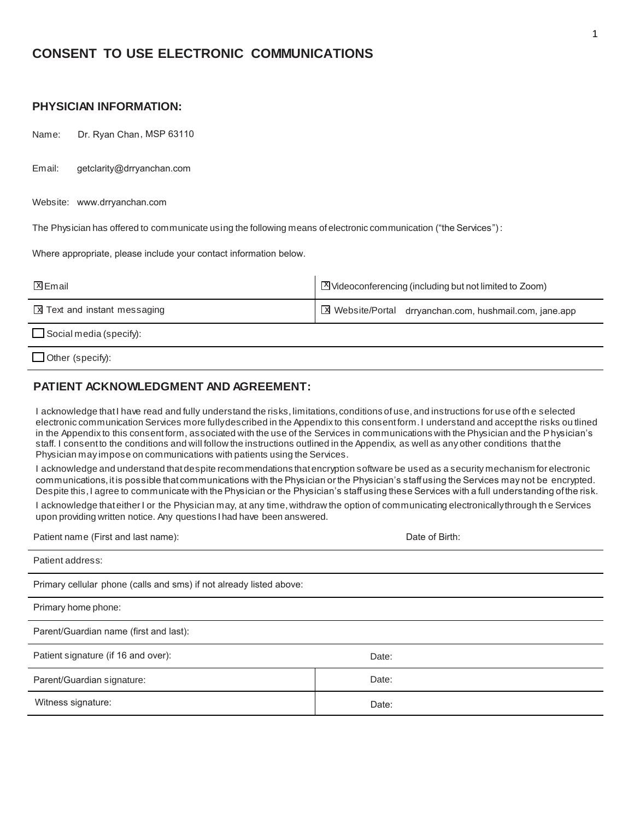# **CONSENT TO USE ELECTRONIC COMMUNICATIONS**

## **PHYSICIAN INFORMATION:**

Name: Dr. Ryan Chan , MSP 63110

Email: getclarity@drryanchan.com

Website: www.drryanchan.com

The Physician has offered to communicate using the following means of electronic communication ("the Services") :

Where appropriate, please include your contact information below.

| <b>X</b> Email                      | ■ Videoconferencing (including but not limited to Zoom) |
|-------------------------------------|---------------------------------------------------------|
| <b>X</b> Text and instant messaging | ■ Website/Portal drryanchan.com, hushmail.com, jane.app |
| $\Box$ Social media (specify):      |                                                         |
| $\Box$ Other (specify):             |                                                         |

## **PATIENT ACKNOWLEDGMENT AND AGREEMENT:**

I acknowledge that I have read and fully understand the risks, limitations, conditions of use, and instructions for use of th e selected electronic communication Services more fully described in the Appendix to this consent form. I understand and accept the risks ou tlined in the Appendix to this consent form, associated with the use of the Services in communications with the Physician and the Physician's staff. I consent to the conditions and will follow the instructions outlined in the Appendix, as well as any other conditions that the Physician may impose on communications with patients using the Services.

I acknowledge and understand that despite recommendations that encryption software be used as a security mechanism for electronic communications, it is possible that communications with the Physician or the Physician's staff using the Services may not be encrypted. Despite this, I agree to communicate with the Physician or the Physician's staff using these Services with a full understanding of the risk.

I acknowledge that either I or the Physician may, at any time, withdraw the option of communicating electronically through th e Services upon providing written notice. Any questions I had have been answered.

Patient name (First and last name): Date of Birth:

| $r$ allerit Harrie (First ariu fast Harrie).                        | Dale of Diffit. |
|---------------------------------------------------------------------|-----------------|
| Patient address:                                                    |                 |
| Primary cellular phone (calls and sms) if not already listed above: |                 |
| Primary home phone:                                                 |                 |
| Parent/Guardian name (first and last):                              |                 |
| Patient signature (if 16 and over):                                 | Date:           |
| Parent/Guardian signature:                                          | Date:           |
| Witness signature:                                                  | Date:           |
|                                                                     |                 |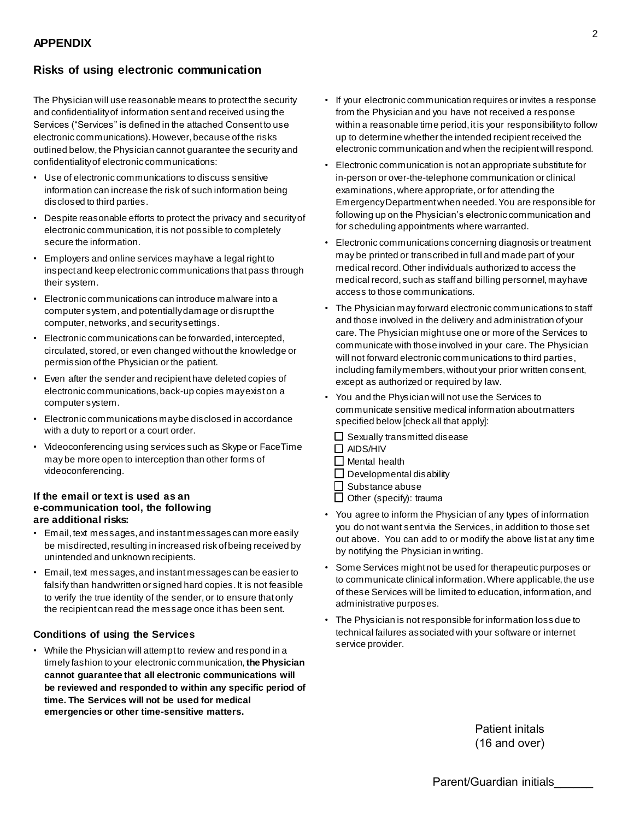## **Risks of using electronic communication**

The Physician will use reasonable means to protect the security and confidentiality of information sent and received using the Services ("Services" is defined in the attached Consent to use electronic communications). However, because of the risks outlined below, the Physician cannot guarantee the security and confidentiality of electronic communications:

- Use of electronic communications to discuss sensitive information can increase the risk of such information being disclosed to third parties.
- Despite reasonable efforts to protect the privacy and security of electronic communication, it is not possible to completely secure the information.
- Employers and online services may have a legal right to inspect and keep electronic communications that pass through their system.
- Electronic communications can introduce malware into a computer system, and potentially damage or disrupt the computer, networks, and security settings.
- Electronic communications can be forwarded, intercepted, circulated, stored, or even changed without the knowledge or permission of the Physician or the patient.
- Even after the sender and recipient have deleted copies of electronic communications, back-up copies may exist on a computer system.
- Electronic communications may be disclosed in accordance with a duty to report or a court order.
- Videoconferencing using services such as Skype or FaceTime may be more open to interception than other forms of videoconferencing.

#### **If the email or text is used as an e-communication tool, the following are additional risks:**

- Email, text messages, and instant messages can more easily be misdirected, resulting in increased risk of being received by unintended and unknown recipients.
- Email, text messages, and instant messages can be easier to falsify than handwritten or signed hard copies. It is not feasible to verify the true identity of the sender, or to ensure that only the recipient can read the message once it has been sent.

### **Conditions of using the Services**

• While the Physician will attempt to review and respond in a timely fashion to your electronic communication, **the Physician cannot guarantee that all electronic communications will be reviewed and responded to within any specific period of time. The Services will not be used for medical emergencies or other time-sensitive matters.**

- If your electronic communication requires or invites a response from the Physician and you have not received a response within a reasonable time period, it is your responsibility to follow up to determine whether the intended recipient received the electronic communication and when the recipient will respond.
- Electronic communication is not an appropriate substitute for in-person or over-the-telephone communication or clinical examinations, where appropriate, or for attending the Emergency Department when needed. You are responsible for following up on the Physician's electronic communication and for scheduling appointments where warranted.
- Electronic communications concerning diagnosis or treatment may be printed or transcribed in full and made part of your medical record. Other individuals authorized to access the medical record, such as staff and billing personnel, may have access to those communications.
- The Physician may forward electronic communications to staff and those involved in the delivery and administration of your care. The Physician might use one or more of the Services to communicate with those involved in your care. The Physician will not forward electronic communications to third parties, including family members, without your prior written consent, except as authorized or required by law.
- You and the Physician will not use the Services to communicate sensitive medical information about matters specified below [check all that apply]:
	- $\Box$  Sexually transmitted disease
	- $\Box$  AIDS/HIV
	- $\Box$  Mental health
	- $\Box$  Developmental disability
	- Substance abuse
	- Other (specify): trauma
- You agree to inform the Physician of any types of information you do not want sent via the Services, in addition to those set out above. You can add to or modify the above list at any time by notifying the Physician in writing.
- Some Services might not be used for therapeutic purposes or to communicate clinical information. Where applicable, the use of these Services will be limited to education, information, and administrative purposes.
- The Physician is not responsible for information loss due to technical failures associated with your software or internet service provider.

Patient initals (16 and over)